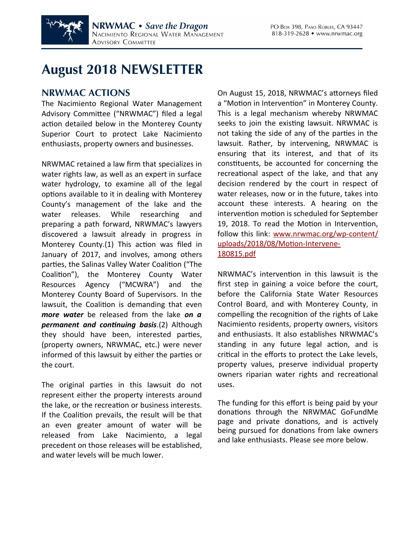

# **August 2018 NEWSLETTER**

### **NRWMAC ACTIONS**

The Nacimiento Regional Water Management Advisory Committee ("NRWMAC") filed a legal action detailed below in the Monterey County Superior Court to protect Lake Nacimiento enthusiasts, property owners and businesses.

NRWMAC retained a law firm that specializes in water rights law, as well as an expert in surface water hydrology, to examine all of the legal options available to it in dealing with Monterey County's management of the lake and the water releases. While researching and preparing a path forward, NRWMAC's lawyers discovered a lawsuit already in progress in Monterey County.(1) This action was filed in January of 2017, and involves, among others parties, the Salinas Valley Water Coalition ("The Coalition"), the Monterey County Water Resources Agency ("MCWRA") and the Monterey County Board of Supervisors. In the lawsuit, the Coalition is demanding that even *more water* be released from the lake *on a permanent and continuing basis*.(2) Although they should have been, interested parties, (property owners, NRWMAC, etc.) were never informed of this lawsuit by either the parties or the court.

The original parties in this lawsuit do not represent either the property interests around the lake, or the recreation or business interests. If the Coalition prevails, the result will be that an even greater amount of water will be released from Lake Nacimiento, a legal precedent on those releases will be established, and water levels will be much lower.

On August 15, 2018, NRWMAC's attorneys filed a "Motion in Intervention" in Monterey County. This is a legal mechanism whereby NRWMAC seeks to join the existing lawsuit. NRWMAC is not taking the side of any of the parties in the lawsuit. Rather, by intervening, NRWMAC is ensuring that its interest, and that of its constituents, be accounted for concerning the recreational aspect of the lake, and that any decision rendered by the court in respect of water releases, now or in the future, takes into account these interests. A hearing on the intervention motion is scheduled for September 19, 2018. To read the Motion in Intervention, follow this link: [www.nrwmac.org/wp-content/](http://www.nrwmac.org/wp-content/uploads/2018/08/Motion-Intervene-180815.pdf) [uploads/2018/08/Motion-Intervene-](http://www.nrwmac.org/wp-content/uploads/2018/08/Motion-Intervene-180815.pdf)[180815.pdf](http://www.nrwmac.org/wp-content/uploads/2018/08/Motion-Intervene-180815.pdf)

NRWMAC's intervention in this lawsuit is the first step in gaining a voice before the court, before the California State Water Resources Control Board, and with Monterey County, in compelling the recognition of the rights of Lake Nacimiento residents, property owners, visitors and enthusiasts. It also establishes NRWMAC's standing in any future legal action, and is critical in the efforts to protect the Lake levels, property values, preserve individual property owners riparian water rights and recreational uses.

The funding for this effort is being paid by your donations through the NRWMAC GoFundMe page and private donations, and is actively being pursued for donations from lake owners and lake enthusiasts. Please see more below.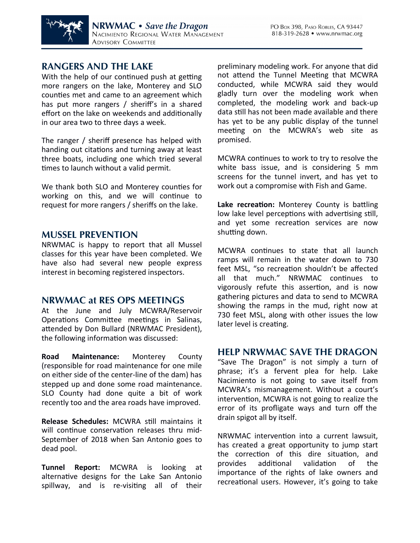

## **RANGERS AND THE LAKE**

With the help of our continued push at getting more rangers on the lake, Monterey and SLO counties met and came to an agreement which has put more rangers / sheriff's in a shared effort on the lake on weekends and additionally in our area two to three days a week.

The ranger / sheriff presence has helped with handing out citations and turning away at least three boats, including one which tried several times to launch without a valid permit.

We thank both SLO and Monterey counties for working on this, and we will continue to request for more rangers / sheriffs on the lake.

#### **MUSSEL PREVENTION**

NRWMAC is happy to report that all Mussel classes for this year have been completed. We have also had several new people express interest in becoming registered inspectors.

#### **NRWMAC at RES OPS MEETINGS**

At the June and July MCWRA/Reservoir Operations Committee meetings in Salinas, attended by Don Bullard (NRWMAC President), the following information was discussed:

**Road Maintenance:** Monterey County (responsible for road maintenance for one mile on either side of the center-line of the dam) has stepped up and done some road maintenance. SLO County had done quite a bit of work recently too and the area roads have improved.

**Release Schedules:** MCWRA still maintains it will continue conservation releases thru mid-September of 2018 when San Antonio goes to dead pool.

**Tunnel Report:** MCWRA is looking at alternative designs for the Lake San Antonio spillway, and is re-visiting all of their preliminary modeling work. For anyone that did not attend the Tunnel Meeting that MCWRA conducted, while MCWRA said they would gladly turn over the modeling work when completed, the modeling work and back-up data still has not been made available and there has yet to be any public display of the tunnel meeting on the MCWRA's web site as promised.

MCWRA continues to work to try to resolve the white bass issue, and is considering 5 mm screens for the tunnel invert, and has yet to work out a compromise with Fish and Game.

**Lake recreation:** Monterey County is battling low lake level perceptions with advertising still, and yet some recreation services are now shutting down.

MCWRA continues to state that all launch ramps will remain in the water down to 730 feet MSL, "so recreation shouldn't be affected all that much." NRWMAC continues to vigorously refute this assertion, and is now gathering pictures and data to send to MCWRA showing the ramps in the mud, right now at 730 feet MSL, along with other issues the low later level is creating.

#### **HELP NRWMAC SAVE THE DRAGON**

"Save The Dragon" is not simply a turn of phrase; it's a fervent plea for help. Lake Nacimiento is not going to save itself from MCWRA's mismanagement. Without a court's intervention, MCWRA is not going to realize the error of its profligate ways and turn off the drain spigot all by itself.

NRWMAC intervention into a current lawsuit, has created a great opportunity to jump start the correction of this dire situation, and provides additional validation of the importance of the rights of lake owners and recreational users. However, it's going to take